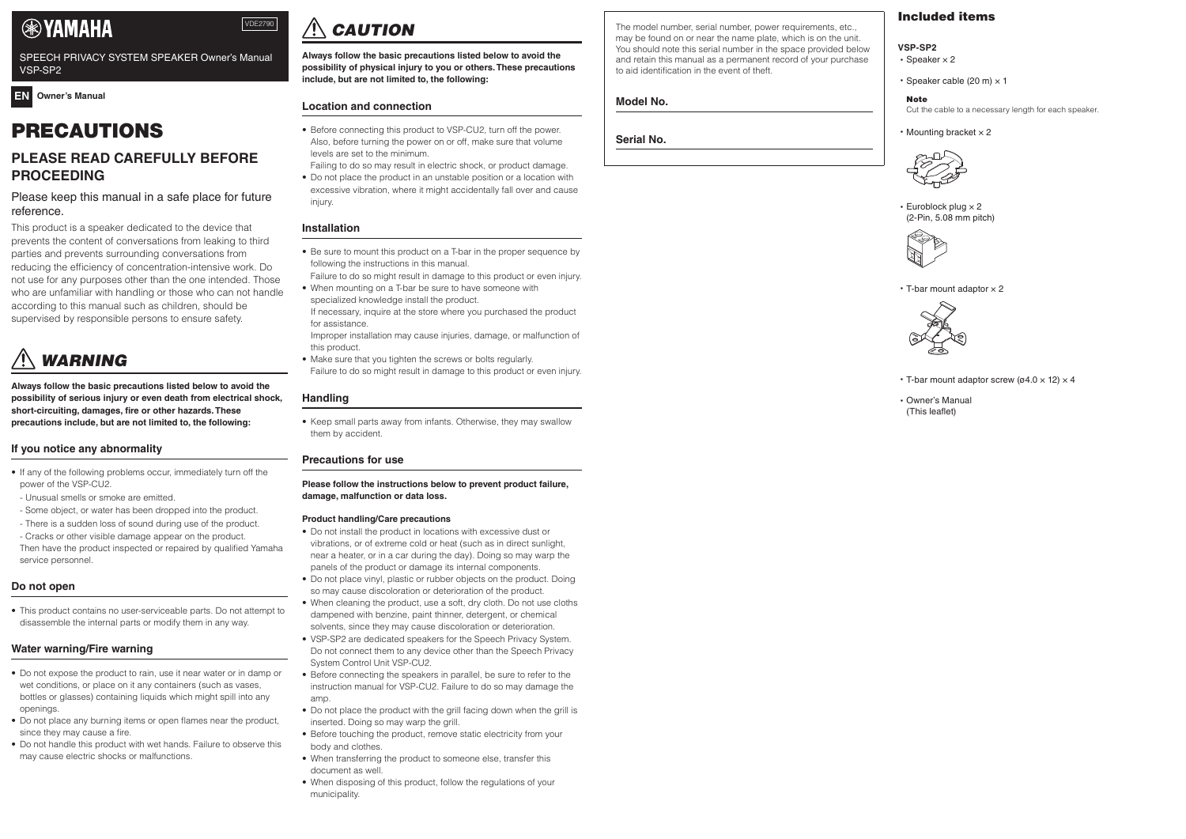# PRECAUTIONS

# **PLEASE READ CAREFULLY BEFORE PROCEEDING**

## Please keep this manual in a safe place for future reference.

This product is a speaker dedicated to the device that prevents the content of conversations from leaking to third parties and prevents surrounding conversations from reducing the efficiency of concentration-intensive work. Do not use for any purposes other than the one intended. Those who are unfamiliar with handling or those who can not handle according to this manual such as children, should be supervised by responsible persons to ensure safety.

# *WARNING*

**Always follow the basic precautions listed below to avoid the possibility of serious injury or even death from electrical shock, short-circuiting, damages, fire or other hazards. These precautions include, but are not limited to, the following:**

#### **If you notice any abnormality**

- If any of the following problems occur, immediately turn off the power of the VSP-CU2.
- Unusual smells or smoke are emitted.
- Some object, or water has been dropped into the product.
- There is a sudden loss of sound during use of the product.
- Cracks or other visible damage appear on the product.

excessive vibration, where it might accidentally fall over and cause injury

Then have the product inspected or repaired by qualified Yamaha service personnel.

# **Do not open**

• This product contains no user-serviceable parts. Do not attempt to disassemble the internal parts or modify them in any way.

# **Water warning/Fire warning**

- Do not expose the product to rain, use it near water or in damp or wet conditions, or place on it any containers (such as vases, bottles or glasses) containing liquids which might spill into any openings.
- Do not place any burning items or open flames near the product, since they may cause a fire.
- Do not handle this product with wet hands. Failure to observe this may cause electric shocks or malfunctions.

# *CAUTION*

**Always follow the basic precautions listed below to avoid the possibility of physical injury to you or others. These precautions include, but are not limited to, the following:**

#### **Location and connection**

• Before connecting this product to VSP-CU2, turn off the power. Also, before turning the power on or off, make sure that volume levels are set to the minimum.

Failing to do so may result in electric shock, or product damage. • Do not place the product in an unstable position or a location with

# **Installation**

• Be sure to mount this product on a T-bar in the proper sequence by following the instructions in this manual.

- T-bar mount adaptor screw ( $\varnothing$ 4.0  $\times$  12)  $\times$  4
- Owner's Manual (This leaflet)

Failure to do so might result in damage to this product or even injury. • When mounting on a T-bar be sure to have someone with

- specialized knowledge install the product.
- If necessary, inquire at the store where you purchased the product for assistance.

Improper installation may cause injuries, damage, or malfunction of this product.

• Make sure that you tighten the screws or bolts regularly. Failure to do so might result in damage to this product or even injury.

#### **Handling**

• Keep small parts away from infants. Otherwise, they may swallow them by accident.

#### **Precautions for use**

#### **Please follow the instructions below to prevent product failure, damage, malfunction or data loss.**

#### **Product handling/Care precautions**

- Do not install the product in locations with excessive dust or vibrations, or of extreme cold or heat (such as in direct sunlight, near a heater, or in a car during the day). Doing so may warp the panels of the product or damage its internal components.
- Do not place vinyl, plastic or rubber objects on the product. Doing so may cause discoloration or deterioration of the product.
- When cleaning the product, use a soft, dry cloth. Do not use cloths dampened with benzine, paint thinner, detergent, or chemical solvents, since they may cause discoloration or deterioration.
- VSP-SP2 are dedicated speakers for the Speech Privacy System. Do not connect them to any device other than the Speech Privacy System Control Unit VSP-CU2.
- Before connecting the speakers in parallel, be sure to refer to the instruction manual for VSP-CU2. Failure to do so may damage the amp.
- Do not place the product with the grill facing down when the grill is inserted. Doing so may warp the grill.
- Before touching the product, remove static electricity from your body and clothes.
- When transferring the product to someone else, transfer this document as well.
- When disposing of this product, follow the regulations of your municipality.

The model number, serial number, power requirements, etc., may be found on or near the name plate, which is on the unit. You should note this serial number in the space provided below and retain this manual as a permanent record of your purchase to aid identification in the event of theft.

## **Model No.**

**Serial No.**

# Included items

#### **VSP-SP2**

- Speaker  $\times$  2
- Speaker cable (20 m)  $\times$  1

**Note** 

Cut the cable to a necessary length for each speaker.

• Mounting bracket  $\times$  2



• Euroblock plug × 2 (2-Pin, 5.08 mm pitch)



 $\cdot$  T-bar mount adaptor  $\times$  2



VDE2790

### **EN Owner's Manual**

# **EXPAMAHA**

SPEECH PRIVACY SYSTEM SPEAKER Owner's Manual VSP-SP2